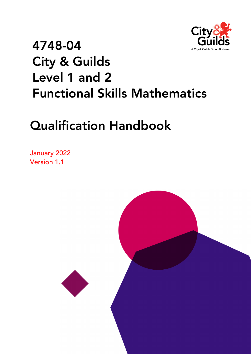

# 4748-04 City & Guilds Level 1 and 2 Functional Skills Mathematics

# Qualification Handbook

January 2022 Version 1.1

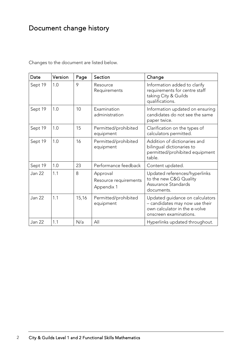### <span id="page-1-0"></span>Document change history

| Date          | Version | Page  | Section                                         | Change                                                                                                                       |
|---------------|---------|-------|-------------------------------------------------|------------------------------------------------------------------------------------------------------------------------------|
| Sept 19       | 1.0     | 9     | Resource<br>Requirements                        | Information added to clarify<br>requirements for centre staff<br>taking City & Guilds<br>qualifications.                     |
| Sept 19       | 1.0     | 10    | Examination<br>administration                   | Information updated on ensuring<br>candidates do not see the same<br>paper twice.                                            |
| Sept 19       | 1.0     | 15    | Permitted/prohibited<br>equipment               | Clarification on the types of<br>calculators permitted.                                                                      |
| Sept 19       | 1.0     | 16    | Permitted/prohibited<br>equipment               | Addition of dictionaries and<br>bilingual dictionaries to<br>permitted/prohibited equipment<br>table.                        |
| Sept 19       | 1.0     | 23    | Performance feedback                            | Content updated.                                                                                                             |
| <b>Jan 22</b> | 1.1     | 8     | Approval<br>Resource requirements<br>Appendix 1 | Updated references/hyperlinks<br>to the new C&G Quality<br>Assurance Standards<br>documents.                                 |
| <b>Jan 22</b> | 1.1     | 15,16 | Permitted/prohibited<br>equipment               | Updated guidance on calculators<br>- candidates may now use their<br>own calculator in the e-volve<br>onscreen examinations. |
| <b>Jan 22</b> | 1.1     | N/a   | All                                             | Hyperlinks updated throughout.                                                                                               |

Changes to the document are listed below.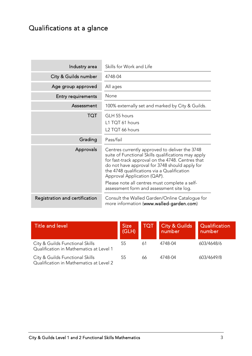### <span id="page-2-0"></span>Qualifications at a glance

| Industry area             | Skills for Work and Life                                                                                                                                                                                                                                                                   |
|---------------------------|--------------------------------------------------------------------------------------------------------------------------------------------------------------------------------------------------------------------------------------------------------------------------------------------|
| City & Guilds number      | 4748-04                                                                                                                                                                                                                                                                                    |
| Age group approved        | All ages                                                                                                                                                                                                                                                                                   |
| <b>Entry requirements</b> | None                                                                                                                                                                                                                                                                                       |
| Assessment                | 100% externally set and marked by City & Guilds.                                                                                                                                                                                                                                           |
| <b>TQT</b>                | GLH 55 hours<br>L1 TQT 61 hours<br>L2 TQT 66 hours                                                                                                                                                                                                                                         |
| Grading                   | Pass/fail                                                                                                                                                                                                                                                                                  |
|                           |                                                                                                                                                                                                                                                                                            |
| Approvals                 | Centres currently approved to deliver the 3748<br>suite of Functional Skills qualifications may apply<br>for fast-track approval on the 4748. Centres that<br>do not have approval for 3748 should apply for<br>the 4748 qualifications via a Qualification<br>Approval Application (QAP). |
|                           | Please note all centres must complete a self-<br>assessment form and assessment site log.                                                                                                                                                                                                  |

| Title and level                                                            | <b>Size</b><br>(GLH) | <b>TQT</b> | <b>City &amp; Guilds</b><br>number | Qualification<br>number |
|----------------------------------------------------------------------------|----------------------|------------|------------------------------------|-------------------------|
| City & Guilds Functional Skills<br>Qualification in Mathematics at Level 1 | 55                   | 61         | 4748-04                            | 603/4648/6              |
| City & Guilds Functional Skills<br>Qualification in Mathematics at Level 2 | 55                   | 66         | 4748-04                            | 603/4649/8              |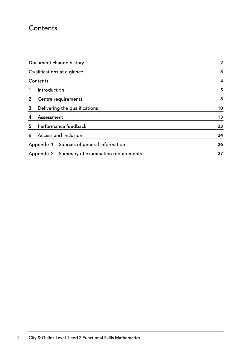### <span id="page-3-0"></span>**Contents**

|                           | Document change history        |    |  |
|---------------------------|--------------------------------|----|--|
|                           | Qualifications at a glance     |    |  |
| Contents                  |                                | 4  |  |
| Introduction              |                                | 5  |  |
| 2                         | Centre requirements            | 8  |  |
| 3                         | Delivering the qualifications  |    |  |
| Assessment<br>4           | 13                             |    |  |
| 5                         | Performance feedback           |    |  |
| Access and Inclusion<br>6 | 24                             |    |  |
| Appendix 1                | Sources of general information | 26 |  |
| Appendix 2                | 27                             |    |  |
|                           |                                |    |  |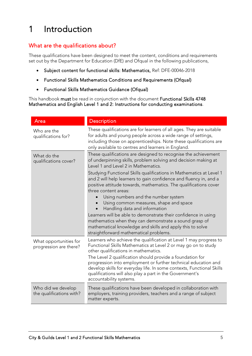# <span id="page-4-0"></span>1 Introduction

#### What are the qualifications about?

These qualifications have been designed to meet the content, conditions and requirements set out by the Department for Education (DfE) and Ofqual in the following publications,

- [Subject content for functional skills: Mathematics,](https://assets.publishing.service.gov.uk/government/uploads/system/uploads/attachment_data/file/684807/Functional_Skills_Subject_Content_Mathematics.pdf) Ref: DFE-00046-2018
- [Functional Skills Mathematics Conditions and Requirements \(Ofqual\)](https://assets.publishing.service.gov.uk/government/uploads/system/uploads/attachment_data/file/720475/functional-skills-mathematics-conditions-and-requirements.pdf)
- [Functional Skills Mathematics Guidance \(Ofqual\)](https://assets.publishing.service.gov.uk/government/uploads/system/uploads/attachment_data/file/730687/functional-skills-mathematics-guidance.pdf)

This handbook must be read in conjunction with the document [Functional Skills 4748](https://www.cityandguilds.com/-/media/productdocuments/skills_for_work_and_life/english_mathematics_and_ict_skills/4748/centre_documents/functional-skills-4748-instructions-for-conducting-examinations-v1-4-pdf.ashx)  [Mathematics and English Level 1 and 2: Instructions for conducting examinations.](https://www.cityandguilds.com/-/media/productdocuments/skills_for_work_and_life/english_mathematics_and_ict_skills/4748/centre_documents/functional-skills-4748-instructions-for-conducting-examinations-v1-4-pdf.ashx)

| Area                                             | <b>Description</b>                                                                                                                                                                                                                                                                                                                                                                                                                                                                                                                                                                                                                                                                                                                                                   |
|--------------------------------------------------|----------------------------------------------------------------------------------------------------------------------------------------------------------------------------------------------------------------------------------------------------------------------------------------------------------------------------------------------------------------------------------------------------------------------------------------------------------------------------------------------------------------------------------------------------------------------------------------------------------------------------------------------------------------------------------------------------------------------------------------------------------------------|
| Who are the<br>qualifications for?               | These qualifications are for learners of all ages. They are suitable<br>for adults and young people across a wide range of settings,<br>including those on apprenticeships. Note these qualifications are<br>only available to centres and learners in England.                                                                                                                                                                                                                                                                                                                                                                                                                                                                                                      |
| What do the<br>qualifications cover?             | These qualifications are designed to recognise the achievement<br>of underpinning skills, problem solving and decision making at<br>Level 1 and Level 2 in Mathematics.<br>Studying Functional Skills qualifications in Mathematics at Level 1<br>and 2 will help learners to gain confidence and fluency in, and a<br>positive attitude towards, mathematics. The qualifications cover<br>three content areas:<br>Using numbers and the number system<br>Using common measures, shape and space<br>Handling data and information<br>Learners will be able to demonstrate their confidence in using<br>mathematics when they can demonstrate a sound grasp of<br>mathematical knowledge and skills and apply this to solve<br>straightforward mathematical problems. |
| What opportunities for<br>progression are there? | Learners who achieve the qualification at Level 1 may progress to<br>Functional Skills Mathematics at Level 2 or may go on to study<br>other qualifications in mathematics.<br>The Level 2 qualification should provide a foundation for<br>progression into employment or further technical education and<br>develop skills for everyday life. In some contexts, Functional Skills<br>qualifications will also play a part in the Government's<br>accountability systems.                                                                                                                                                                                                                                                                                           |
| Who did we develop<br>the qualifications with?   | These qualifications have been developed in collaboration with<br>employers, training providers, teachers and a range of subject<br>matter experts.                                                                                                                                                                                                                                                                                                                                                                                                                                                                                                                                                                                                                  |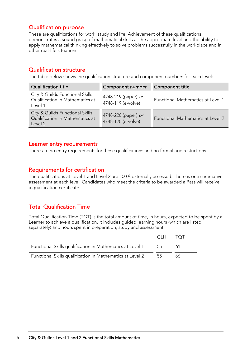#### Qualification purpose

These are qualifications for work, study and life. Achievement of these qualifications demonstrates a sound grasp of mathematical skills at the appropriate level and the ability to apply mathematical thinking effectively to solve problems successfully in the workplace and in other real-life situations.

#### Qualification structure

The table below shows the qualification structure and component numbers for each level:

| <b>Qualification title</b>                                                    | Component number                          | Component title                          |
|-------------------------------------------------------------------------------|-------------------------------------------|------------------------------------------|
| City & Guilds Functional Skills<br>Qualification in Mathematics at<br>Level 1 | 4748-219 (paper) or<br>4748-119 (e-volve) | <b>Functional Mathematics at Level 1</b> |
| City & Guilds Functional Skills<br>Qualification in Mathematics at<br>Level 2 | 4748-220 (paper) or<br>4748-120 (e-volve) | <b>Functional Mathematics at Level 2</b> |

#### Learner entry requirements

There are no entry requirements for these qualifications and no formal age restrictions.

#### Requirements for certification

The qualifications at Level 1 and Level 2 are 100% externally assessed. There is one summative assessment at each level. Candidates who meet the criteria to be awarded a Pass will receive a qualification certificate.

#### Total Qualification Time

Total Qualification Time (TQT) is the total amount of time, in hours, expected to be spent by a Learner to achieve a qualification. It includes guided learning hours (which are listed separately) and hours spent in preparation, study and assessment.

|                                                           | GLH - | $-TOT$ |
|-----------------------------------------------------------|-------|--------|
| Functional Skills qualification in Mathematics at Level 1 | 55.   |        |
| Functional Skills qualification in Mathematics at Level 2 | .55   | 66     |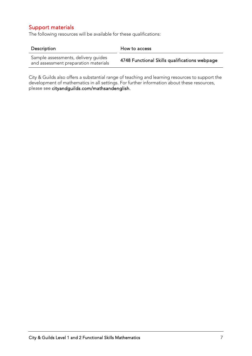#### Support materials

The following resources will be available for these qualifications:

| Description                                                                 | How to access                                 |
|-----------------------------------------------------------------------------|-----------------------------------------------|
| Sample assessments, delivery guides<br>and assessment preparation materials | 4748 Functional Skills qualifications webpage |

City & Guilds also offers a substantial range of teaching and learning resources to support the development of mathematics in all settings. For further information about these resources, please see [cityandguilds.com/mathsandenglish.](http://www.cityandguilds.com/mathsandenglish)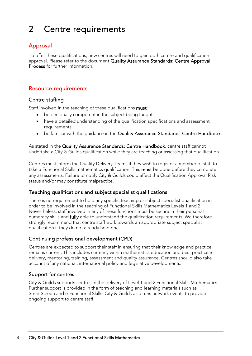# <span id="page-7-0"></span>2 Centre requirements

#### Approval

To offer these qualifications, new centres will need to gain both centre and qualification approval. Please refer to the document [Quality Assurance Standards: Centre Approval](https://www.cityandguilds.com/-/media/ilm-website/sharepoint-documents/_published-documents/qas-centre-approval-process-pdf.ashx?la=en&hash=990ED9AD884A4BEF59DCB03477E94F0FBB0D027F)  [Process](https://www.cityandguilds.com/-/media/ilm-website/sharepoint-documents/_published-documents/qas-centre-approval-process-pdf.ashx?la=en&hash=990ED9AD884A4BEF59DCB03477E94F0FBB0D027F) for further information.

#### Resource requirements

#### Centre staffing

Staff involved in the teaching of these qualifications must:

- be personally competent in the subject being taught
- have a detailed understanding of the qualification specifications and assessment requirements
- be familiar with the quidance in the [Quality Assurance Standards: Centre Handbook.](https://www.cityandguilds.com/-/media/ilm-website/sharepoint-documents/_published-documents/qas-centre-handbook-pdf.ashx?la=en&hash=4A5447E601FBB9B560AAE285C5ECD56173ED22DA)

As stated in the [Quality Assurance Standards: Centre Handbook,](https://www.cityandguilds.com/-/media/ilm-website/sharepoint-documents/_published-documents/qas-centre-handbook-pdf.ashx?la=en&hash=4A5447E601FBB9B560AAE285C5ECD56173ED22DA) centre staff cannot undertake a City & Guilds qualification while they are teaching or assessing that qualification.

Centres must inform the Quality Delivery Teams if they wish to register a member of staff to take a Functional Skills mathematics qualification. This must be done before they complete any assessments. Failure to notify City & Guilds could affect the Qualification Approval Risk status and/or may constitute malpractice.

#### Teaching qualifications and subject specialist qualifications

There is no requirement to hold any specific teaching or subject specialist qualification in order to be involved in the teaching of Functional Skills Mathematics Levels 1 and 2. Nevertheless, staff involved in any of these functions must be secure in their personal numeracy skills and fully able to understand the qualification requirements. We therefore strongly recommend that centre staff work towards an appropriate subject specialist qualification if they do not already hold one.

#### Continuing professional development (CPD)

Centres are expected to support their staff in ensuring that their knowledge and practice remains current. This includes currency within mathematics education and best practice in delivery, mentoring, training, assessment and quality assurance. Centres should also take account of any national, international policy and legislative developments.

#### Support for centres

City & Guilds supports centres in the delivery of Level 1 and 2 Functional Skills Mathematics. Further support is provided in the form of teaching and learning materials such as SmartScreen and e-Functional Skills. City & Guilds also runs network events to provide ongoing support to centre staff.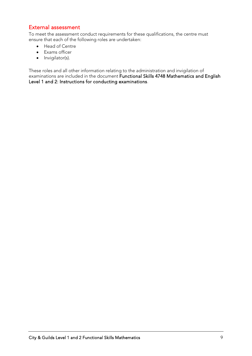#### External assessment

To meet the assessment conduct requirements for these qualifications, the centre must ensure that each of the following roles are undertaken:

- Head of Centre
- Exams officer
- Invigilator(s).

These roles and all other information relating to the administration and invigilation of examinations are included in the document [Functional Skills 4748 Mathematics and English](https://www.cityandguilds.com/-/media/productdocuments/skills_for_work_and_life/english_mathematics_and_ict_skills/4748/centre_documents/functional-skills-4748-instructions-for-conducting-examinations-v1-4-pdf.ashx)  [Level 1 and 2: Instructions for conducting examinations.](https://www.cityandguilds.com/-/media/productdocuments/skills_for_work_and_life/english_mathematics_and_ict_skills/4748/centre_documents/functional-skills-4748-instructions-for-conducting-examinations-v1-4-pdf.ashx)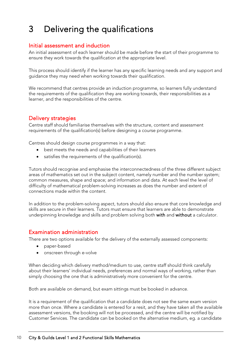# <span id="page-9-0"></span>3 Delivering the qualifications

#### Initial assessment and induction

An initial assessment of each learner should be made before the start of their programme to ensure they work towards the qualification at the appropriate level.

This process should identify if the learner has any specific learning needs and any support and guidance they may need when working towards their qualification.

We recommend that centres provide an induction programme, so learners fully understand the requirements of the qualification they are working towards, their responsibilities as a learner, and the responsibilities of the centre.

#### Delivery strategies

Centre staff should familiarise themselves with the structure, content and assessment requirements of the qualification(s) before designing a course programme.

Centres should design course programmes in a way that:

- best meets the needs and capabilities of their learners
- satisfies the requirements of the qualification(s).

Tutors should recognise and emphasise the interconnectedness of the three different subject areas of mathematics set out in the subject content, namely number and the number system; common measures, shape and space; and information and data. At each level the level of difficulty of mathematical problem-solving increases as does the number and extent of connections made within the content.

In addition to the problem-solving aspect, tutors should also ensure that core knowledge and skills are secure in their learners. Tutors must ensure that learners are able to demonstrate underpinning knowledge and skills and problem solving both with and without a calculator.

#### Examination administration

There are two options available for the delivery of the externally assessed components:

- paper-based
- onscreen through e-volve

When deciding which delivery method/medium to use, centre staff should think carefully about their learners' individual needs, preferences and normal ways of working, rather than simply choosing the one that is administratively more convenient for the centre.

Both are available on demand, but exam sittings must be booked in advance.

It is a requirement of the qualification that a candidate does not see the same exam version more than once. Where a candidate is entered for a resit, and they have taken all the available assessment versions, the booking will not be processed, and the centre will be notified by Customer Services. The candidate can be booked on the alternative medium, eg. a candidate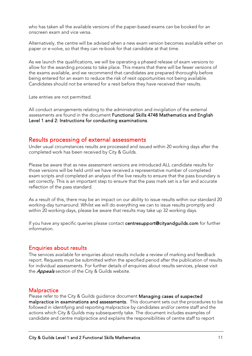who has taken all the available versions of the paper-based exams can be booked for an onscreen exam and vice versa.

Alternatively, the centre will be advised when a new exam version becomes available either on paper or e-volve, so that they can re-book for that candidate at that time.

As we launch the qualifications, we will be operating a phased release of exam versions to allow for the awarding process to take place. This means that there will be fewer versions of the exams available, and we recommend that candidates are prepared thoroughly before being entered for an exam to reduce the risk of resit opportunities not being available. Candidates should not be entered for a resit before they have received their results.

Late entries are not permitted.

All conduct arrangements relating to the administration and invigilation of the external assessments are found in the document [Functional Skills 4748 Mathematics and English](https://www.cityandguilds.com/-/media/productdocuments/skills_for_work_and_life/english_mathematics_and_ict_skills/4748/centre_documents/functional-skills-4748-instructions-for-conducting-examinations-v1-4-pdf.ashx)  [Level 1 and 2: Instructions for conducting examinations.](https://www.cityandguilds.com/-/media/productdocuments/skills_for_work_and_life/english_mathematics_and_ict_skills/4748/centre_documents/functional-skills-4748-instructions-for-conducting-examinations-v1-4-pdf.ashx)

#### Results processing of external assessments

Under usual circumstances results are processed and issued within 20 working days after the completed work has been received by City & Guilds.

Please be aware that as new assessment versions are introduced ALL candidate results for those versions will be held until we have received a representative number of completed exam scripts and completed an analysis of the live results to ensure that the pass boundary is set correctly. This is an important step to ensure that the pass mark set is a fair and accurate reflection of the pass standard.

As a result of this, there may be an impact on our ability to issue results within our standard 20 working-day turnaround. Whilst we will do everything we can to issue results promptly and within 20 working-days, please be aware that results may take up 32 working days.

If you have any specific queries please contact centresupport@cityandquilds.com for further information.

#### Enquiries about results

The services available for enquiries about results include a review of marking and feedback report. Requests must be submitted within the specified period after the publication of results for individual assessments. For further details of enquiries about results services, please visit the *[Appeals](https://www.cityandguilds.com/delivering-our-qualifications/centre-development/centre-document-library/policies-and-procedures/appeals)* section of the City & Guilds website.

#### **Malpractice**

I

Please refer to the City & Guilds guidance document [Managing cases of suspected](https://www.cityandguilds.com/-/media/cityandguilds-site/documents/delivering-our-qualifications/cdl/malpractice/managing-cases-of-suspected-malpractice-in-examinations-and-assessments.ashx?la=en&hash=EC0E5D167FB946A40E53B240D24034B191EABEDB)  [malpractice in examinations and assessments.](https://www.cityandguilds.com/-/media/cityandguilds-site/documents/delivering-our-qualifications/cdl/malpractice/managing-cases-of-suspected-malpractice-in-examinations-and-assessments.ashx?la=en&hash=EC0E5D167FB946A40E53B240D24034B191EABEDB) This document sets out the procedures to be followed in identifying and reporting malpractice by candidates and/or centre staff and the actions which City & Guilds may subsequently take. The document includes examples of candidate and centre malpractice and explains the responsibilities of centre staff to report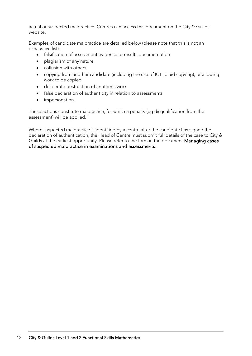actual or suspected malpractice. Centres can access this document on the City & Guilds website.

Examples of candidate malpractice are detailed below (please note that this is not an exhaustive list):

- falsification of assessment evidence or results documentation
- plagiarism of any nature
- collusion with others
- copying from another candidate (including the use of ICT to aid copying), or allowing work to be copied
- deliberate destruction of another's work
- false declaration of authenticity in relation to assessments
- impersonation.

These actions constitute malpractice, for which a penalty (eg disqualification from the assessment) will be applied.

Where suspected malpractice is identified by a centre after the candidate has signed the declaration of authentication, the Head of Centre must submit full details of the case to City & Guilds at the earliest opportunity. Please refer to the form in the document [Managing cases](https://www.cityandguilds.com/-/media/cityandguilds-site/documents/delivering-our-qualifications/cdl/malpractice/managing-cases-of-suspected-malpractice-in-examinations-and-assessments.ashx?la=en&hash=EC0E5D167FB946A40E53B240D24034B191EABEDB)  [of suspected malpractice in examinations and assessments.](https://www.cityandguilds.com/-/media/cityandguilds-site/documents/delivering-our-qualifications/cdl/malpractice/managing-cases-of-suspected-malpractice-in-examinations-and-assessments.ashx?la=en&hash=EC0E5D167FB946A40E53B240D24034B191EABEDB)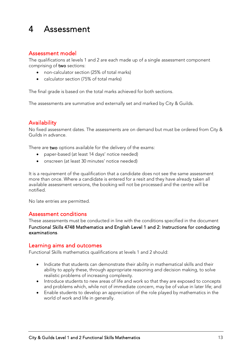## <span id="page-12-0"></span>4 Assessment

#### Assessment model

The qualifications at levels 1 and 2 are each made up of a single assessment component comprising of two sections:

- non-calculator section (25% of total marks)
- calculator section (75% of total marks)

The final grade is based on the total marks achieved for both sections.

The assessments are summative and externally set and marked by City & Guilds.

#### **Availability**

No fixed assessment dates. The assessments are on demand but must be ordered from City & Guilds in advance.

There are two options available for the delivery of the exams:

- paper-based (at least 14 days' notice needed)
- onscreen (at least 30 minutes' notice needed)

It is a requirement of the qualification that a candidate does not see the same assessment more than once. Where a candidate is entered for a resit and they have already taken all available assessment versions, the booking will not be processed and the centre will be notified.

No late entries are permitted.

#### Assessment conditions

I

These assessments must be conducted in line with the conditions specified in the document [Functional Skills 4748 Mathematics and English Level 1 and 2: Instructions for conducting](https://www.cityandguilds.com/-/media/productdocuments/skills_for_work_and_life/english_mathematics_and_ict_skills/4748/centre_documents/functional-skills-4748-instructions-for-conducting-examinations-v1-4-pdf.ashx)  [examinations.](https://www.cityandguilds.com/-/media/productdocuments/skills_for_work_and_life/english_mathematics_and_ict_skills/4748/centre_documents/functional-skills-4748-instructions-for-conducting-examinations-v1-4-pdf.ashx)

#### Learning aims and outcomes

Functional Skills mathematics qualifications at levels 1 and 2 should:

- Indicate that students can demonstrate their ability in mathematical skills and their ability to apply these, through appropriate reasoning and decision making, to solve realistic problems of increasing complexity.
- Introduce students to new areas of life and work so that they are exposed to concepts and problems which, while not of immediate concern, may be of value in later life; and
- Enable students to develop an appreciation of the role played by mathematics in the world of work and life in generally.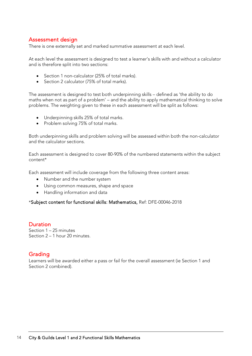#### Assessment design

There is one externally set and marked summative assessment at each level.

At each level the assessment is designed to test a learner's skills with and without a calculator and is therefore split into two sections:

- Section 1 non-calculator (25% of total marks).
- Section 2 calculator (75% of total marks).

The assessment is designed to test both underpinning skills – defined as 'the ability to do maths when not as part of a problem' – and the ability to apply mathematical thinking to solve problems. The weighting given to these in each assessment will be split as follows:

- Underpinning skills 25% of total marks.
- Problem solving 75% of total marks.

Both underpinning skills and problem solving will be assessed within both the non-calculator and the calculator sections.

Each assessment is designed to cover 80-90% of the numbered statements within the subject content\*

Each assessment will include coverage from the following three content areas:

- Number and the number system
- Using common measures, shape and space
- Handling information and data

#### \*[Subject content for functional skills: Mathematics,](https://assets.publishing.service.gov.uk/government/uploads/system/uploads/attachment_data/file/684807/Functional_Skills_Subject_Content_Mathematics.pdf) Ref: DFE-00046-2018

#### **Duration**

Section 1 – 25 minutes Section 2 – 1 hour 20 minutes.

#### Grading

Learners will be awarded either a pass or fail for the overall assessment (ie Section 1 and Section 2 combined).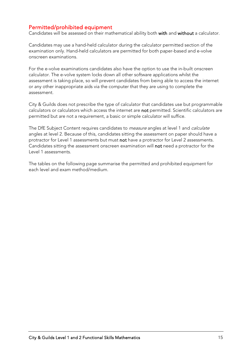#### Permitted/prohibited equipment

Candidates will be assessed on their mathematical ability both with and without a calculator.

Candidates may use a hand-held calculator during the calculator permitted section of the examination only. Hand-held calculators are permitted for both paper-based and e-volve onscreen examinations.

For the e-volve examinations candidates also have the option to use the in-built onscreen calculator. The e-volve system locks down all other software applications whilst the assessment is taking place, so will prevent candidates from being able to access the internet or any other inappropriate aids via the computer that they are using to complete the assessment.

City & Guilds does not prescribe the type of calculator that candidates use but programmable calculators or calculators which access the internet are not permitted. Scientific calculators are permitted but are not a requirement, a basic or simple calculator will suffice.

The DfE Subject Content requires candidates to *measure* angles at level 1 and *calculate* angles at level 2. Because of this, candidates sitting the assessment on paper should have a protractor for Level 1 assessments but must not have a protractor for Level 2 assessments. Candidates sitting the assessment onscreen examination will not need a protractor for the Level 1 assessments.

The tables on the following page summarise the permitted and prohibited equipment for each level and exam method/medium.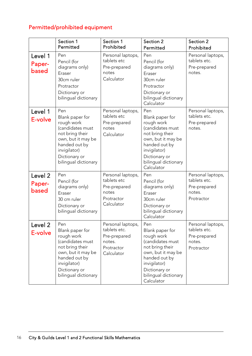### Permitted/prohibited equipment

|                            | Section 1<br>Permitted                                                                                                                                                      | Section 1<br>Prohibited                                                                 | Section 2<br>Permitted                                                                                                                                                                    | Section 2<br>Prohibited                                                   |
|----------------------------|-----------------------------------------------------------------------------------------------------------------------------------------------------------------------------|-----------------------------------------------------------------------------------------|-------------------------------------------------------------------------------------------------------------------------------------------------------------------------------------------|---------------------------------------------------------------------------|
| Level 1<br>Paper-<br>based | Pen<br>Pencil (for<br>diagrams only)<br>Eraser<br>30cm ruler<br>Protractor<br>Dictionary or<br>bilingual dictionary                                                         | Personal laptops,<br>tablets etc<br>Pre-prepared<br>notes<br>Calculator                 | Pen<br>Pencil (for<br>diagrams only)<br>Eraser<br>30cm ruler<br>Protractor<br>Dictionary or<br>bilingual dictionary<br>Calculator                                                         | Personal laptops,<br>tablets etc.<br>Pre-prepared<br>notes.               |
| Level 1<br>E-volve         | Pen<br>Blank paper for<br>rough work<br>(candidates must<br>not bring their<br>own, but it may be<br>handed out by<br>invigilator)<br>Dictionary or<br>bilingual dictionary | Personal laptops,<br>tablets etc<br>Pre-prepared<br>notes<br>Calculator                 | Pen<br>Blank paper for<br>rough work<br>(candidates must<br>not bring their<br>own, but it may be<br>handed out by<br>invigilator)<br>Dictionary or<br>bilingual dictionary<br>Calculator | Personal laptops,<br>tablets etc.<br>Pre-prepared<br>notes.               |
| Level 2<br>Paper-<br>based | Pen<br>Pencil (for<br>diagrams only)<br>Eraser<br>30 cm ruler<br>Dictionary or<br>bilingual dictionary                                                                      | Personal laptops,<br>tablets etc<br>Pre-prepared<br>notes<br>Protractor<br>Calculator   | Pen<br>Pencil (for<br>diagrams only)<br>Eraser<br>30cm ruler<br>Dictionary or<br>bilingual dictionary<br>Calculator                                                                       | Personal laptops,<br>tablets etc.<br>Pre-prepared<br>notes.<br>Protractor |
| Level 2<br>E-volve         | Pen<br>Blank paper for<br>rough work<br>(candidates must<br>not bring their<br>own, but it may be<br>handed out by<br>invigilator)<br>Dictionary or<br>bilingual dictionary | Personal laptops,<br>tablets etc.<br>Pre-prepared<br>notes.<br>Protractor<br>Calculator | Pen<br>Blank paper for<br>rough work<br>(candidates must<br>not bring their<br>own, but it may be<br>handed out by<br>invigilator)<br>Dictionary or<br>bilingual dictionary<br>Calculator | Personal laptops,<br>tablets etc.<br>Pre-prepared<br>notes.<br>Protractor |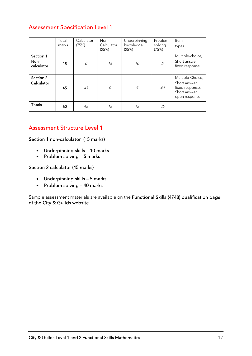#### Assessment Specification Level 1

|                                 | Total<br>marks | Calculator<br>(75%) | Non-<br>Calculator<br>(25%) | Underpinning<br>knowledge<br>(25%) | Problem<br>solving<br>(75%) | Item<br>types                                                                        |
|---------------------------------|----------------|---------------------|-----------------------------|------------------------------------|-----------------------------|--------------------------------------------------------------------------------------|
| Section 1<br>Non-<br>calculator | 15             | 0                   | 15                          | 10                                 | 5                           | Multiple-choice;<br>Short answer<br>fixed response                                   |
| Section 2<br>Calculator         | 45             | 45                  | 0                           | 5                                  | 40                          | Multiple-Choice;<br>Short answer<br>fixed response;<br>Short answer<br>open response |
| Totals                          | 60             | 45                  | 15                          | 15                                 | 45                          |                                                                                      |

#### Assessment Structure Level 1

Section 1 non-calculator (15 marks)

- Underpinning skills 10 marks
- Problem solving 5 marks

Section 2 calculator (45 marks)

- Underpinning skills 5 marks
- Problem solving 40 marks

Sample assessment materials are available on the [Functional Skills \(4748\) qualification page](https://www.cityandguilds.com/qualifications-and-apprenticeships/skills-for-work-and-life/english-mathematics-and-ict-skills/4748-functional-skills#tab=documents)  [of the City & Guilds website.](https://www.cityandguilds.com/qualifications-and-apprenticeships/skills-for-work-and-life/english-mathematics-and-ict-skills/4748-functional-skills#tab=documents)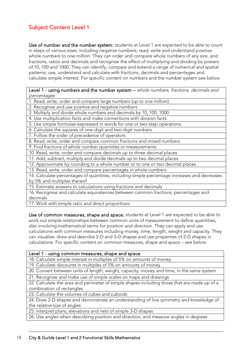#### Subject Content Level 1

Use of number and the number system: students at Level 1 are expected to be able to count in steps of various sizes, including negative numbers; read, write and understand positive whole numbers to one million. They can order and compare whole numbers of any size, and fractions, ratios and decimals and recognise the effect of multiplying and dividing by powers of 10, 100 and 1000. They can identify, compare and extend a range of numerical and spatial patterns, use, understand and calculate with fractions, decimals and percentages and calculate simple interest. For specific content on numbers and the number system see below.

Level 1 - using numbers and the number system – whole numbers, fractions, decimals and percentages

1. Read, write, order and compare large numbers (up to one million)

2. Recognise and use positive and negative numbers

3. Multiply and divide whole numbers and decimals by 10, 100, 1000

4. Use multiplication facts and make connections with division facts

5. Use simple formulae expressed in words for one or two-step operations

6. Calculate the squares of one-digit and two-digit numbers

7. Follow the order of precedence of operators

8. Read, write, order and compare common fractions and mixed numbers

9. Find fractions of whole number quantities or measurements

10. Read, write, order and compare decimals up to three decimal places

11. Add, subtract, multiply and divide decimals up to two decimal places

12. Approximate by rounding to a whole number or to one or two decimal places

13. Read, write, order and compare percentages in whole numbers

14. Calculate percentages of quantities, including simple percentage increases and decreases by 5% and multiples thereof

15. Estimate answers to calculations using fractions and decimals

16. Recognise and calculate equivalences between common fractions, percentages and decimals

17. Work with simple ratio and direct proportions

Use of common measures, shape and space: students at Level 1 are expected to be able to work out simple relationships between common units of measurement to define quantities, also involving mathematical terms for position and direction. They can apply and use calculations with common measures including money, time, length, weight and capacity. They can visualise, draw and describe 2-D and 3-D shapes and use properties of 2-D shapes in calculations. For specific content on common measures, shape and space – see below.

#### Level 1 - using common measures, shape and space

18. Calculate simple interest in multiples of 5% on amounts of money

19. Calculate discounts in multiples of 5% on amounts of money

20. Convert between units of length, weight, capacity, money and time, in the same system

21. Recognise and make use of simple scales on maps and drawings

22. Calculate the area and perimeter of simple shapes including those that are made up of a combination of rectangles

23. Calculate the volumes of cubes and cuboids

24. Draw 2-D shapes and demonstrate an understanding of line symmetry and knowledge of the relative size of angles

25. Interpret plans, elevations and nets of simple 3-D shapes

26. Use angles when describing position and direction, and measure angles in degrees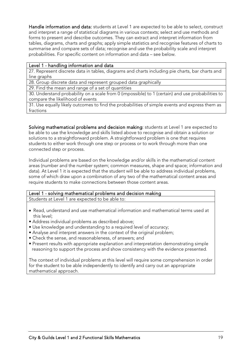Handle information and data: students at Level 1 are expected to be able to select, construct and interpret a range of statistical diagrams in various contexts; select and use methods and forms to present and describe outcomes. They can extract and interpret information from tables, diagrams, charts and graphs; apply simple statistics and recognise features of charts to summarise and compare sets of data; recognise and use the probability scale and interpret probabilities. For specific content on information and data – see below.

#### Level 1 - handling information and data

27. Represent discrete data in tables, diagrams and charts including pie charts, bar charts and line graphs

28. Group discrete data and represent grouped data graphically

29. Find the mean and range of a set of quantities

30. Understand probability on a scale from 0 (impossible) to 1 (certain) and use probabilities to compare the likelihood of events

31. Use equally likely outcomes to find the probabilities of simple events and express them as fractions

Solving mathematical problems and decision making: students at Level 1 are expected to be able to use the knowledge and skills listed above to recognise and obtain a solution or solutions to a straightforward problem. A straightforward problem is one that requires students to either work through one step or process or to work through more than one connected step or process.

Individual problems are based on the knowledge and/or skills in the mathematical content areas (number and the number system; common measures, shape and space; information and data). At Level 1 it is expected that the student will be able to address individual problems, some of which draw upon a combination of any two of the mathematical content areas and require students to make connections between those content areas.

#### Level 1 - solving mathematical problems and decision making Students at Level 1 are expected to be able to:

- Read, understand and use mathematical information and mathematical terms used at this level;
- Address individual problems as described above;
- Use knowledge and understanding to a required level of accuracy;
- Analyse and interpret answers in the context of the original problem;
- Check the sense, and reasonableness, of answers; and
- Present results with appropriate explanation and interpretation demonstrating simple reasoning to support the process and show consistency with the evidence presented.

The context of individual problems at this level will require some comprehension in order for the student to be able independently to identify and carry out an appropriate mathematical approach.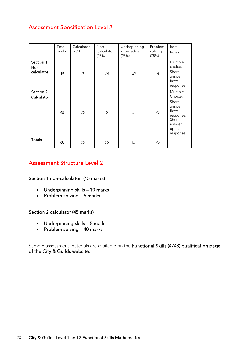#### Assessment Specification Level 2

|                                 | Total<br>marks | Calculator<br>(75%) | Non-<br>Calculator<br>(25%) | Underpinning<br>knowledge<br>(25%) | Problem<br>solving<br>(75%) | <b>Item</b><br>types                                                                                |
|---------------------------------|----------------|---------------------|-----------------------------|------------------------------------|-----------------------------|-----------------------------------------------------------------------------------------------------|
| Section 1<br>Non-<br>calculator | 15             | 0                   | 15                          | 10                                 | 5                           | Multiple<br>choice;<br>Short<br>answer<br>fixed<br>response                                         |
| Section 2<br>Calculator         | 45             | 45                  | 0                           | 5                                  | 40                          | Multiple<br>Choice;<br>Short<br>answer<br>fixed<br>response;<br>Short<br>answer<br>open<br>response |
| <b>Totals</b>                   | 60             | 45                  | 15                          | 15                                 | 45                          |                                                                                                     |

#### Assessment Structure Level 2

Section 1 non-calculator (15 marks)

- Underpinning skills 10 marks
- Problem solving 5 marks

#### Section 2 calculator (45 marks)

- Underpinning skills 5 marks
- Problem solving 40 marks

Sample assessment materials are available on the [Functional Skills \(4748\) qualification page](https://www.cityandguilds.com/qualifications-and-apprenticeships/skills-for-work-and-life/english-mathematics-and-ict-skills/4748-functional-skills#tab=documents)  [of the City & Guilds website.](https://www.cityandguilds.com/qualifications-and-apprenticeships/skills-for-work-and-life/english-mathematics-and-ict-skills/4748-functional-skills#tab=documents)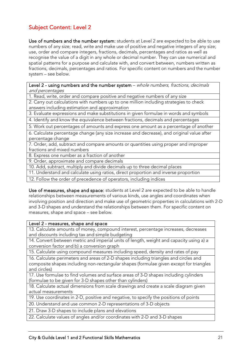#### Subject Content: Level 2

Use of numbers and the number system: students at Level 2 are expected to be able to use numbers of any size; read, write and make use of positive and negative integers of any size; use, order and compare integers, fractions, decimals, percentages and ratios as well as recognise the value of a digit in any whole or decimal number. They can use numerical and spatial patterns for a purpose and calculate with, and convert between, numbers written as fractions, decimals, percentages and ratios. For specific content on numbers and the number system – see below.

Level 2 - using numbers and the number system - whole numbers, fractions, decimals and percentages

1. Read, write, order and compare positive and negative numbers of any size

2. Carry out calculations with numbers up to one million including strategies to check answers including estimation and approximation

3. Evaluate expressions and make substitutions in given formulae in words and symbols

4. Identify and know the equivalence between fractions, decimals and percentages

5. Work out percentages of amounts and express one amount as a percentage of another

6. Calculate percentage change (any size increase and decrease), and original value after percentage change

7. Order, add, subtract and compare amounts or quantities using proper and improper fractions and mixed numbers

8. Express one number as a fraction of another

9. Order, approximate and compare decimals

10. Add, subtract, multiply and divide decimals up to three decimal places

11. Understand and calculate using ratios, direct proportion and inverse proportion

12. Follow the order of precedence of operators, including indices

Use of measures, shape and space: students at Level 2 are expected to be able to handle relationships between measurements of various kinds, use angles and coordinates when involving position and direction and make use of geometric properties in calculations with 2-D and 3-D shapes and understand the relationships between them. For specific content on measures, shape and space – see below.

#### Level 2 - measures, shape and space

13. Calculate amounts of money, compound interest, percentage increases, decreases and discounts including tax and simple budgeting

14. Convert between metric and imperial units of length, weight and capacity using a) a conversion factor and b) a conversion graph

15. Calculate using compound measures including speed, density and rates of pay

16. Calculate perimeters and areas of 2-D shapes including triangles and circles and composite shapes including non-rectangular shapes (formulae given except for triangles and circles)

17. Use formulae to find volumes and surface areas of 3-D shapes including cylinders (formulae to be given for 3-D shapes other than cylinders)

18. Calculate actual dimensions from scale drawings and create a scale diagram given actual measurements

19. Use coordinates in 2-D, positive and negative, to specify the positions of points

20. Understand and use common 2-D representations of 3-D objects

21. Draw 3-D shapes to include plans and elevations

22. Calculate values of angles and/or coordinates with 2-D and 3-D shapes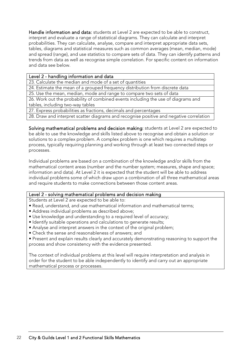Handle information and data: students at Level 2 are expected to be able to construct, interpret and evaluate a range of statistical diagrams. They can calculate and interpret probabilities. They can calculate, analyse, compare and interpret appropriate data sets, tables, diagrams and statistical measures such as common averages (mean, median, mode) and spread (range), and use statistics to compare sets of data. They can identify patterns and trends from data as well as recognise simple correlation. For specific content on information and data see below.

#### Level 2 - handling information and data

23. Calculate the median and mode of a set of quantities

24. Estimate the mean of a grouped frequency distribution from discrete data

25. Use the mean, median, mode and range to compare two sets of data

26. Work out the probability of combined events including the use of diagrams and tables, including two-way tables

27. Express probabilities as fractions, decimals and percentages

28. Draw and interpret scatter diagrams and recognise positive and negative correlation

Solving mathematical problems and decision making: students at Level 2 are expected to be able to use the knowledge and skills listed above to recognise and obtain a solution or solutions to a complex problem. A complex problem is one which requires a multistep process, typically requiring planning and working through at least two connected steps or processes.

Individual problems are based on a combination of the knowledge and/or skills from the mathematical content areas (number and the number system; measures, shape and space; information and data). At Level 2 it is expected that the student will be able to address individual problems some of which draw upon a combination of all three mathematical areas and require students to make connections between those content areas.

#### Level 2 - solving mathematical problems and decision making

Students at Level 2 are expected to be able to:

- Read, understand, and use mathematical information and mathematical terms;
- Address individual problems as described above;
- Use knowledge and understanding to a required level of accuracy;
- Identify suitable operations and calculations to generate results;
- Analyse and interpret answers in the context of the original problem;
- Check the sense and reasonableness of answers; and
- Present and explain results clearly and accurately demonstrating reasoning to support the process and show consistency with the evidence presented.

The context of individual problems at this level will require interpretation and analysis in order for the student to be able independently to identify and carry out an appropriate mathematical process or processes.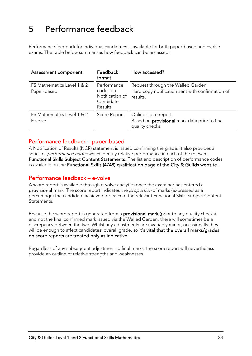# <span id="page-22-0"></span>5 Performance feedback

Performance feedback for individual candidates is available for both paper-based and evolve exams. The table below summarises how feedback can be accessed:

| Assessment component                      | <b>Feedback</b><br>format                                          | How accessed?                                                                                      |
|-------------------------------------------|--------------------------------------------------------------------|----------------------------------------------------------------------------------------------------|
| FS Mathematics Level 1 & 2<br>Paper-based | Performance<br>codes on<br>Notification of<br>Candidate<br>Results | Request through the Walled Garden.<br>Hard copy notification sent with confirmation of<br>results. |
| FS Mathematics Level 1 & 2<br>E-volve     | Score Report                                                       | Online score report.<br>Based on provisional mark data prior to final<br>quality checks.           |

#### Performance feedback – paper-based

A Notification of Results (NCR) statement is issued confirming the grade. It also provides a series of *performance codes* which identify relative performance in each of the relevant Functional Skills Subject Content Statements. The list and description of performance codes is available on the [Functional Skills \(4748\) qualification page of the City & Guilds website.](https://www.cityandguilds.com/qualifications-and-apprenticeships/skills-for-work-and-life/english-mathematics-and-ict-skills/4748-functional-skills#tab=documents).

#### Performance feedback – e-volve

A score report is available through e-volve analytics once the examiner has entered a provisional mark. The score report indicates the *proportion* of marks (expressed as a percentage) the candidate achieved for each of the relevant Functional Skills Subject Content **Statements** 

Because the score report is generated from a **provisional mark** (prior to any quality checks) and not the final confirmed mark issued via the Walled Garden, there will sometimes be a discrepancy between the two. Whilst any adjustments are invariably minor, occasionally they will be enough to affect candidates' overall grade, so it's vital that the overall marks/grades on score reports are treated only as indicative.

Regardless of any subsequent adjustment to final marks, the score report will nevertheless provide an outline of relative strengths and weaknesses.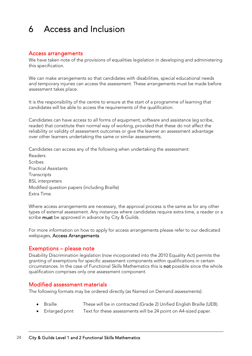## <span id="page-23-0"></span>6 Access and Inclusion

#### Access arrangements

We have taken note of the provisions of equalities legislation in developing and administering this specification.

We can make arrangements so that candidates with disabilities, special educational needs and temporary injuries can access the assessment. These arrangements must be made before assessment takes place.

It is the responsibility of the centre to ensure at the start of a programme of learning that candidates will be able to access the requirements of the qualification.

Candidates can have access to all forms of equipment, software and assistance (eg scribe, reader) that constitute their normal way of working, provided that these do not affect the reliability or validity of assessment outcomes or give the learner an assessment advantage over other learners undertaking the same or similar assessments.

Candidates can access any of the following when undertaking the assessment: Readers Scribes Practical Assistants **Transcripts** BSL interpreters Modified question papers (including Braille) Extra Time.

Where access arrangements are necessary, the approval process is the same as for any other types of external assessment. Any instances where candidates require extra time, a reader or a scribe must be approved in advance by City & Guilds.

For more information on how to apply for access arrangements please refer to our dedicated webpages, [Access Arrangements.](https://www.cityandguilds.com/delivering-our-qualifications/centre-development/centre-document-library/policies-and-procedures/access-arrangements-reasonable-adjustments)

#### Exemptions – please note

Disability Discrimination legislation (now incorporated into the 2010 Equality Act) permits the granting of exemptions for specific assessment components within qualifications in certain circumstances. In the case of Functional Skills Mathematics this is not possible since the whole qualification comprises only one assessment component.

#### Modified assessment materials

The following formats may be ordered directly (as Named on Demand assessments):

- Braille These will be in contracted (Grade 2) Unified English Braille (UEB).
- Enlarged print Text for these assessments will be 24 point on A4-sized paper.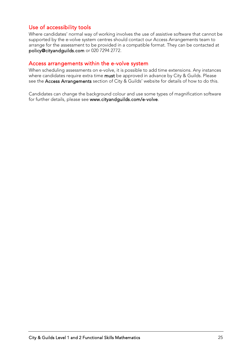#### Use of accessibility tools

Where candidates' normal way of working involves the use of assistive software that cannot be supported by the e-volve system centres should contact our Access Arrangements team to arrange for the assessment to be provided in a compatible format. They can be contacted at [policy@cityandguilds.com](mailto:policy@cityandguilds.com) or 020 7294 2772.

#### Access arrangements within the e-volve system

When scheduling assessments on e-volve, it is possible to add time extensions. Any instances where candidates require extra time must be approved in advance by City & Guilds. Please see the [Access Arrangements](https://www.cityandguilds.com/delivering-our-qualifications/centre-development/centre-document-library/policies-and-procedures/access-arrangements-reasonable-adjustments) section of City & Guilds' website for details of how to do this.

Candidates can change the background colour and use some types of magnification software for further details, please see [www.cityandguilds.com/e-volve](http://www.cityandguilds.com/e-volve).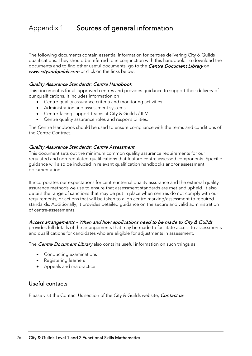### <span id="page-25-0"></span>Appendix 1 Sources of general information

The following documents contain essential information for centres delivering City & Guilds qualifications. They should be referred to in conjunction with this handbook. To download the documents and to find other useful documents, go to the *[Centre Document Library](https://www.cityandguilds.com/delivering-our-qualifications/centre-development/centre-document-library)* on [www.cityandguilds.com](http://www.cityandguilds.com/) or click on the links below:

#### [Quality Assurance Standards: Centre Handbook](https://www.cityandguilds.com/-/media/ilm-website/sharepoint-documents/_published-documents/qas-centre-handbook-pdf.ashx?la=en&hash=4A5447E601FBB9B560AAE285C5ECD56173ED22DA)

This document is for all approved centres and provides guidance to support their delivery of our qualifications. It includes information on

- Centre quality assurance criteria and monitoring activities
- Administration and assessment systems
- Centre-facing support teams at City & Guilds / ILM
- Centre quality assurance roles and responsibilities.

The Centre Handbook should be used to ensure compliance with the terms and conditions of the Centre Contract.

#### [Quality Assurance Standards: Centre Assessment](https://www.cityandguilds.com/-/media/ilm-website/sharepoint-documents/_published-documents/qas-centre-assessment-pdf.ashx?la=en&hash=2E8427DC28E5517AFE5778E08398F69DF48EB554)

This document sets out the minimum common quality assurance requirements for our regulated and non-regulated qualifications that feature centre assessed components. Specific guidance will also be included in relevant qualification handbooks and/or assessment documentation.

It incorporates our expectations for centre internal quality assurance and the external quality assurance methods we use to ensure that assessment standards are met and upheld. It also details the range of sanctions that may be put in place when centres do not comply with our requirements, or actions that will be taken to align centre marking/assessment to required standards. Additionally, it provides detailed guidance on the secure and valid administration of centre-assessments.

#### [Access arrangements - When and how applications need to be made to City & Guilds](https://www.cityandguilds.com/-/media/cityandguilds-site/documents/delivering-our-qualifications/access-arrangements-when-and-how-to-apply-pdf.ashx?la=en&hash=8358C1BB86F242D18E468D771939693867E9CBEE)

provides full details of the arrangements that may be made to facilitate access to assessments and qualifications for candidates who are eligible for adjustments in assessment.

The **[Centre Document Library](https://www.cityandguilds.com/delivering-our-qualifications/centre-development/centre-document-library)** also contains useful information on such things as:

- Conducting examinations
- Registering learners
- Appeals and malpractice

#### Useful contacts

Please visit the Contact Us section of the City & Guilds website, [Contact us](https://www.cityandguilds.com/help/contact-us)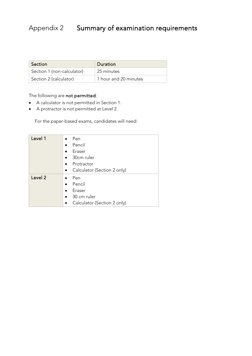### <span id="page-26-0"></span>Appendix 2 Summary of examination requirements

| Section                    | Duration              |
|----------------------------|-----------------------|
| Section 1 (non-calculator) | 25 minutes            |
| Section 2 (calculator)     | 1 hour and 20 minutes |

#### The following are not permitted:

- A calculator is not permitted in Section 1.
- A protractor is not permitted at Level 2.

For the paper-based exams, candidates will need:

| Level 1            | Pen<br>$\bullet$<br>Pencil<br>Eraser<br>30cm ruler<br>$\bullet$<br>Protractor<br>Calculator (Section 2 only)<br>$\bullet$ |
|--------------------|---------------------------------------------------------------------------------------------------------------------------|
| Level <sub>2</sub> | Pen<br>$\bullet$<br>Pencil<br>Eraser<br>30 cm ruler<br>$\bullet$<br>Calculator (Section 2 only)                           |